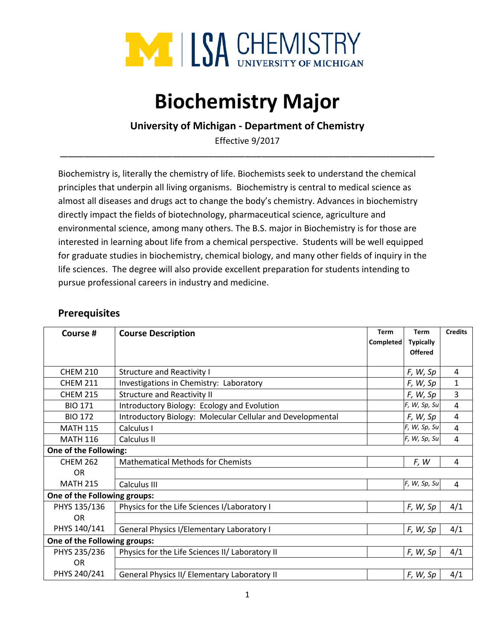

# **Biochemistry Major**

**University of Michigan - Department of Chemistry**

Effective 9/2017 **\_\_\_\_\_\_\_\_\_\_\_\_\_\_\_\_\_\_\_\_\_\_\_\_\_\_\_\_\_\_\_\_\_\_\_\_\_\_\_\_\_\_\_\_\_\_\_\_\_\_\_\_\_\_\_\_\_\_\_\_\_\_\_\_\_\_\_\_\_\_\_\_\_\_\_\_\_\_\_\_\_\_\_\_\_\_\_\_\_\_\_\_\_**

Biochemistry is, literally the chemistry of life. Biochemists seek to understand the chemical principles that underpin all living organisms. Biochemistry is central to medical science as almost all diseases and drugs act to change the body's chemistry. Advances in biochemistry directly impact the fields of biotechnology, pharmaceutical science, agriculture and environmental science, among many others. The B.S. major in Biochemistry is for those are interested in learning about life from a chemical perspective. Students will be well equipped for graduate studies in biochemistry, chemical biology, and many other fields of inquiry in the life sciences. The degree will also provide excellent preparation for students intending to pursue professional careers in industry and medicine.

### **Prerequisites**

| Course #                     | <b>Course Description</b>                                  | <b>Term</b><br><b>Completed</b> | <b>Term</b><br><b>Typically</b> | <b>Credits</b> |
|------------------------------|------------------------------------------------------------|---------------------------------|---------------------------------|----------------|
|                              |                                                            |                                 | <b>Offered</b>                  |                |
| <b>CHEM 210</b>              | <b>Structure and Reactivity I</b>                          |                                 | F, W, Sp                        | 4              |
| <b>CHEM 211</b>              | Investigations in Chemistry: Laboratory                    |                                 | F, W, Sp                        | $\mathbf{1}$   |
| <b>CHEM 215</b>              | <b>Structure and Reactivity II</b>                         |                                 | F, W, Sp                        | 3              |
| <b>BIO 171</b>               | Introductory Biology: Ecology and Evolution                |                                 | F, W, Sp, Su                    | $\overline{a}$ |
| <b>BIO 172</b>               | Introductory Biology: Molecular Cellular and Developmental |                                 | F, W, Sp                        | 4              |
| <b>MATH 115</b>              | Calculus I                                                 |                                 | F, W, Sp, Su                    | $\overline{4}$ |
| <b>MATH 116</b>              | Calculus II                                                |                                 | F, W, Sp, Su                    | 4              |
| One of the Following:        |                                                            |                                 |                                 |                |
| <b>CHFM 262</b>              | <b>Mathematical Methods for Chemists</b>                   |                                 | F, W                            | 4              |
| OR                           |                                                            |                                 |                                 |                |
| <b>MATH 215</b>              | Calculus III                                               |                                 | F, W, Sp, Su                    | 4              |
| One of the Following groups: |                                                            |                                 |                                 |                |
| PHYS 135/136                 | Physics for the Life Sciences I/Laboratory I               |                                 | F, W, Sp                        | 4/1            |
| <b>OR</b>                    |                                                            |                                 |                                 |                |
| PHYS 140/141                 | General Physics I/Elementary Laboratory I                  |                                 | F, W, Sp                        | 4/1            |
| One of the Following groups: |                                                            |                                 |                                 |                |
| PHYS 235/236                 | Physics for the Life Sciences II/ Laboratory II            |                                 | F, W, Sp                        | 4/1            |
| <b>OR</b>                    |                                                            |                                 |                                 |                |
| PHYS 240/241                 | General Physics II/ Elementary Laboratory II               |                                 | F, W, Sp                        | 4/1            |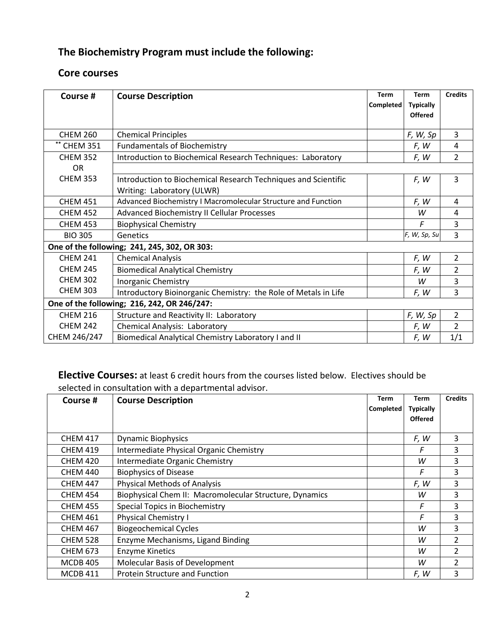# **The Biochemistry Program must include the following:**

## **Core courses**

| Course #                                     | <b>Course Description</b>                                       | <b>Term</b><br><b>Completed</b> | <b>Term</b><br><b>Typically</b> | <b>Credits</b> |
|----------------------------------------------|-----------------------------------------------------------------|---------------------------------|---------------------------------|----------------|
|                                              |                                                                 |                                 | <b>Offered</b>                  |                |
| <b>CHEM 260</b>                              | <b>Chemical Principles</b>                                      |                                 | F, W, Sp                        | 3              |
| <b>CHEM 351</b>                              | <b>Fundamentals of Biochemistry</b>                             |                                 | F, W                            | 4              |
| <b>CHEM 352</b>                              | Introduction to Biochemical Research Techniques: Laboratory     |                                 | F, W                            | $\overline{2}$ |
| <b>OR</b>                                    |                                                                 |                                 |                                 |                |
| <b>CHEM 353</b>                              | Introduction to Biochemical Research Techniques and Scientific  |                                 | F, W                            | $\overline{3}$ |
|                                              | Writing: Laboratory (ULWR)                                      |                                 |                                 |                |
| <b>CHEM 451</b>                              | Advanced Biochemistry I Macromolecular Structure and Function   |                                 | F, W                            | 4              |
| <b>CHEM 452</b>                              | <b>Advanced Biochemistry II Cellular Processes</b>              |                                 | W                               | 4              |
| <b>CHEM 453</b>                              | <b>Biophysical Chemistry</b>                                    |                                 | F                               | 3              |
| <b>BIO 305</b>                               | Genetics                                                        |                                 | F, W, Sp, Su                    | $\overline{3}$ |
| One of the following; 241, 245, 302, OR 303: |                                                                 |                                 |                                 |                |
| <b>CHEM 241</b>                              | <b>Chemical Analysis</b>                                        |                                 | F, W                            | $\overline{2}$ |
| <b>CHEM 245</b>                              | <b>Biomedical Analytical Chemistry</b>                          |                                 | F, W                            | $\overline{2}$ |
| <b>CHEM 302</b>                              | Inorganic Chemistry                                             |                                 | W                               | 3              |
| <b>CHEM 303</b>                              | Introductory Bioinorganic Chemistry: the Role of Metals in Life |                                 | F, W                            | $\overline{3}$ |
| One of the following; 216, 242, OR 246/247:  |                                                                 |                                 |                                 |                |
| <b>CHEM 216</b>                              | Structure and Reactivity II: Laboratory                         |                                 | F, W, Sp                        | $\overline{2}$ |
| <b>CHEM 242</b>                              | Chemical Analysis: Laboratory                                   |                                 | F, W                            | $\overline{2}$ |
| CHEM 246/247                                 | Biomedical Analytical Chemistry Laboratory I and II             |                                 | F, W                            | 1/1            |

**Elective Courses:** at least 6 credit hours from the courses listed below. Electives should be selected in consultation with a departmental advisor.

| Course #        | <b>Course Description</b>                               | Term<br>Completed | Term<br><b>Typically</b> | <b>Credits</b> |
|-----------------|---------------------------------------------------------|-------------------|--------------------------|----------------|
|                 |                                                         |                   | <b>Offered</b>           |                |
| <b>CHEM 417</b> | <b>Dynamic Biophysics</b>                               |                   | F, W                     | 3              |
| <b>CHEM 419</b> | Intermediate Physical Organic Chemistry                 |                   | F                        | 3              |
| <b>CHEM 420</b> | Intermediate Organic Chemistry                          |                   | W                        | 3              |
| <b>CHEM 440</b> | <b>Biophysics of Disease</b>                            |                   | F                        | 3              |
| <b>CHEM 447</b> | <b>Physical Methods of Analysis</b>                     |                   | F, W                     | 3              |
| <b>CHEM 454</b> | Biophysical Chem II: Macromolecular Structure, Dynamics |                   | W                        | 3              |
| <b>CHEM 455</b> | Special Topics in Biochemistry                          |                   | F                        | 3              |
| <b>CHEM 461</b> | <b>Physical Chemistry I</b>                             |                   | F                        | 3              |
| <b>CHEM 467</b> | <b>Biogeochemical Cycles</b>                            |                   | W                        | 3              |
| <b>CHEM 528</b> | Enzyme Mechanisms, Ligand Binding                       |                   | W                        | $\overline{2}$ |
| <b>CHEM 673</b> | <b>Enzyme Kinetics</b>                                  |                   | W                        | $\overline{2}$ |
| <b>MCDB 405</b> | Molecular Basis of Development                          |                   | W                        | 2              |
| <b>MCDB411</b>  | Protein Structure and Function                          |                   | F, W                     | 3              |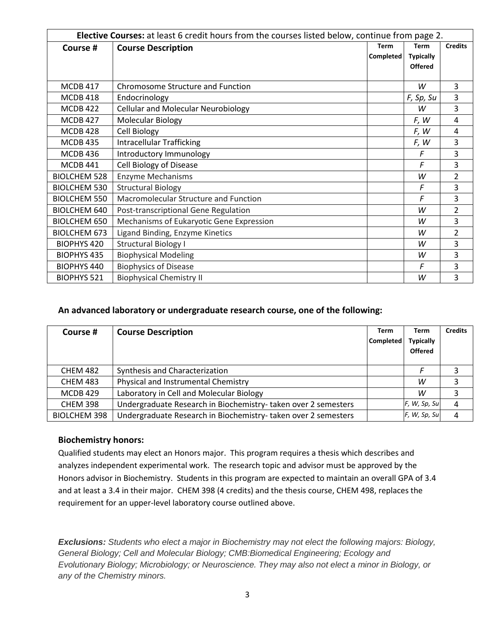| Elective Courses: at least 6 credit hours from the courses listed below, continue from page 2. |                                            |                  |                  |                |
|------------------------------------------------------------------------------------------------|--------------------------------------------|------------------|------------------|----------------|
| Course #                                                                                       | <b>Course Description</b>                  | <b>Term</b>      | <b>Term</b>      | <b>Credits</b> |
|                                                                                                |                                            | <b>Completed</b> | <b>Typically</b> |                |
|                                                                                                |                                            |                  | <b>Offered</b>   |                |
| <b>MCDB417</b>                                                                                 | Chromosome Structure and Function          |                  | W                | 3              |
| <b>MCDB418</b>                                                                                 | Endocrinology                              |                  | F, Sp, Su        | 3              |
| <b>MCDB 422</b>                                                                                | <b>Cellular and Molecular Neurobiology</b> |                  | W                | 3              |
| <b>MCDB427</b>                                                                                 | Molecular Biology                          |                  | F, W             | 4              |
| <b>MCDB 428</b>                                                                                | Cell Biology                               |                  | F, W             | 4              |
| <b>MCDB435</b>                                                                                 | <b>Intracellular Trafficking</b>           |                  | F, W             | 3              |
| <b>MCDB436</b>                                                                                 | Introductory Immunology                    |                  | F                | 3              |
| <b>MCDB441</b>                                                                                 | Cell Biology of Disease                    |                  | F                | 3              |
| <b>BIOLCHEM 528</b>                                                                            | <b>Enzyme Mechanisms</b>                   |                  | W                | $\overline{2}$ |
| <b>BIOLCHEM 530</b>                                                                            | <b>Structural Biology</b>                  |                  | F                | 3              |
| <b>BIOLCHEM 550</b>                                                                            | Macromolecular Structure and Function      |                  | F                | 3              |
| <b>BIOLCHEM 640</b>                                                                            | Post-transcriptional Gene Regulation       |                  | W                | $\overline{2}$ |
| <b>BIOLCHEM 650</b>                                                                            | Mechanisms of Eukaryotic Gene Expression   |                  | W                | $\overline{3}$ |
| <b>BIOLCHEM 673</b>                                                                            | Ligand Binding, Enzyme Kinetics            |                  | W                | $\overline{2}$ |
| <b>BIOPHYS 420</b>                                                                             | <b>Structural Biology I</b>                |                  | W                | 3              |
| BIOPHYS 435                                                                                    | <b>Biophysical Modeling</b>                |                  | W                | 3              |
| <b>BIOPHYS 440</b>                                                                             | <b>Biophysics of Disease</b>               |                  | F                | 3              |
| <b>BIOPHYS 521</b>                                                                             | <b>Biophysical Chemistry II</b>            |                  | W                | 3              |

#### **An advanced laboratory or undergraduate research course, one of the following:**

| Course #            | <b>Course Description</b>                                     | <b>Term</b><br><b>Completed</b> | Term<br><b>Typically</b><br><b>Offered</b> | <b>Credits</b> |
|---------------------|---------------------------------------------------------------|---------------------------------|--------------------------------------------|----------------|
| <b>CHEM 482</b>     | Synthesis and Characterization                                |                                 |                                            |                |
| <b>CHEM 483</b>     | Physical and Instrumental Chemistry                           |                                 | W                                          | 3              |
| <b>MCDB429</b>      | Laboratory in Cell and Molecular Biology                      |                                 | W                                          | 3              |
| <b>CHEM 398</b>     | Undergraduate Research in Biochemistry-taken over 2 semesters |                                 | F, W, Sp, Su                               | $\overline{4}$ |
| <b>BIOLCHEM 398</b> | Undergraduate Research in Biochemistry-taken over 2 semesters |                                 | F, W, Sp, Su                               | $\overline{4}$ |

#### **Biochemistry honors:**

Qualified students may elect an Honors major. This program requires a thesis which describes and analyzes independent experimental work. The research topic and advisor must be approved by the Honors advisor in Biochemistry. Students in this program are expected to maintain an overall GPA of 3.4 and at least a 3.4 in their major. CHEM 398 (4 credits) and the thesis course, CHEM 498, replaces the requirement for an upper-level laboratory course outlined above.

*Exclusions: Students who elect a major in Biochemistry may not elect the following majors: Biology, General Biology; Cell and Molecular Biology; CMB:Biomedical Engineering; Ecology and Evolutionary Biology; Microbiology; or Neuroscience. They may also not elect a minor in Biology, or any of the Chemistry minors.*